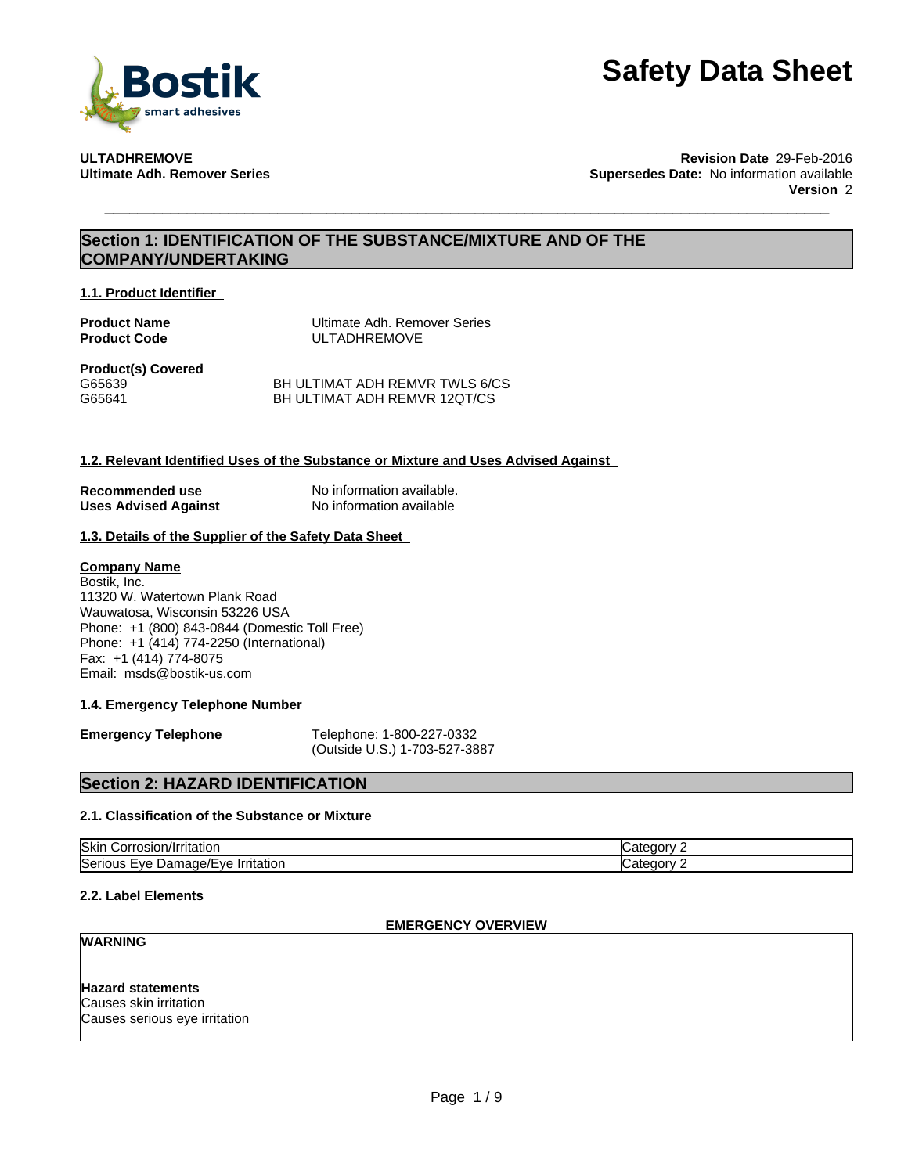

**ULTADHREMOVE Revision Date** 29-Feb-2016 **Supersedes Date:** No information available **Version** 2

## **Section 1: IDENTIFICATION OF THE SUBSTANCE/MIXTURE AND OF THE COMPANY/UNDERTAKING**

**1.1. Product Identifier**

**Product Name**<br> **Product Code**<br> **Product Code**<br> **COLLEADHREMOVE ULTADHREMOVE** 

**Product(s) Covered** G65639 G65641

BH ULTIMAT ADH REMVR TWLS 6/CS BH ULTIMAT ADH REMVR 12QT/CS

### **1.2. Relevant Identified Uses of the Substance or Mixture and Uses Advised Against**

**Recommended use** No information available.<br> **Uses Advised Against** No information available **Uses Advised Against** 

### **1.3. Details of the Supplier of the Safety Data Sheet**

### **Company Name**

Bostik, Inc. 11320 W. Watertown Plank Road Wauwatosa, Wisconsin 53226 USA Phone: +1 (800) 843-0844 (Domestic Toll Free) Phone: +1 (414) 774-2250 (International) Fax: +1 (414) 774-8075 Email: msds@bostik-us.com

### **1.4. Emergency Telephone Number**

**Emergency Telephone** Telephone: 1-800-227-0332 (Outside U.S.) 1-703-527-3887

### **Section 2: HAZARD IDENTIFICATION**

### **2.1. Classification of the Substance or Mixture**

| <b>Skin</b><br>птаног                                                                                       |  |
|-------------------------------------------------------------------------------------------------------------|--|
| l⊂≙ri<br>.<br>۷۴-<br>πaτιon<br>я<br>$. \mathsf{A} \mathsf{B} \mathsf{B} \mathsf{B}$<br>. .<br>$\mathcal{L}$ |  |

### **2.2. Label Elements**

### **EMERGENCY OVERVIEW**

### **WARNING**

**Hazard statements** Causes skin irritation Causes serious eye irritation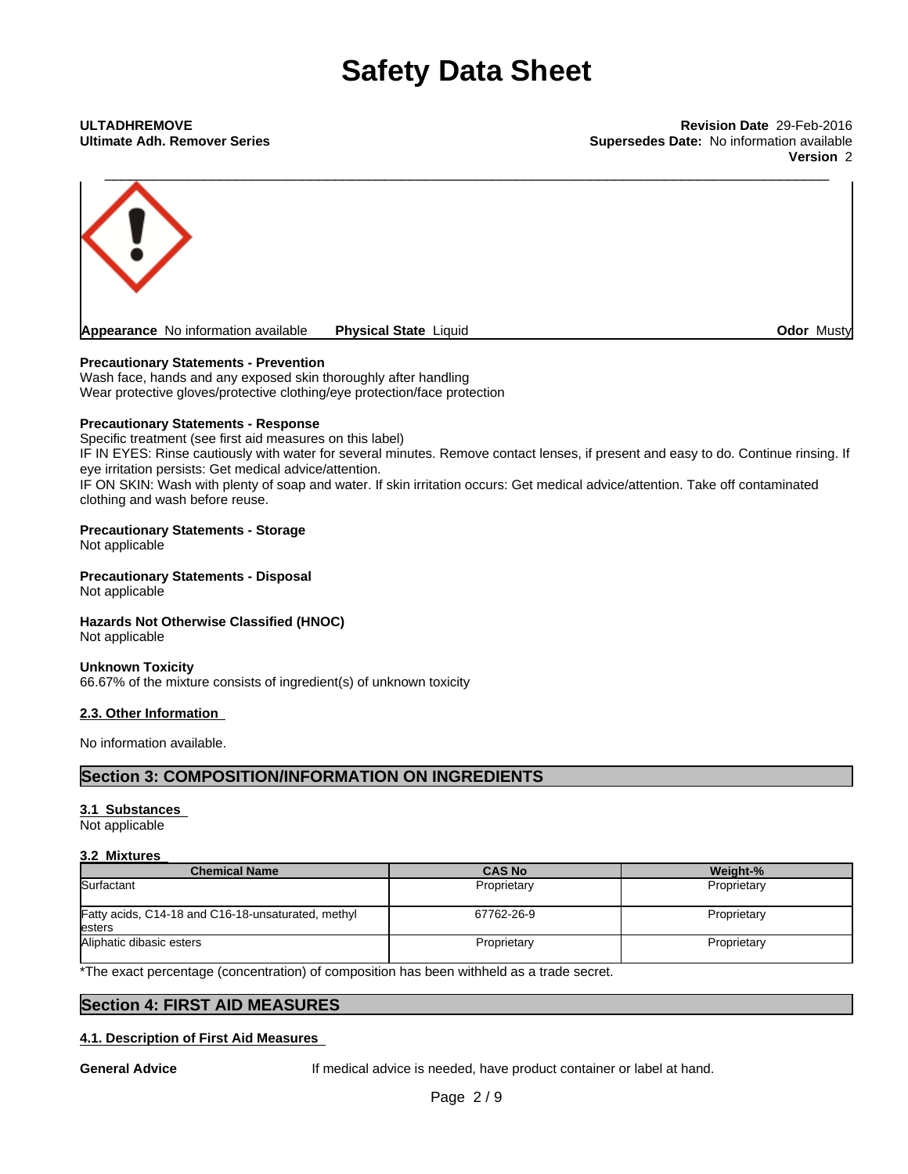**Ultimate Adh. Remover Series Supersedes Date:** No information available **Version** 2



### **Precautionary Statements - Prevention**

Wash face, hands and any exposed skin thoroughly after handling Wear protective gloves/protective clothing/eye protection/face protection

### **Precautionary Statements - Response**

Specific treatment (see first aid measures on this label)

IF IN EYES: Rinse cautiously with water for several minutes. Remove contact lenses, if present and easy to do. Continue rinsing. If eye irritation persists: Get medical advice/attention.

IF ON SKIN: Wash with plenty of soap and water. If skin irritation occurs: Get medical advice/attention. Take off contaminated clothing and wash before reuse.

### **Precautionary Statements - Storage**

Not applicable

**Precautionary Statements - Disposal** Not applicable

### **Hazards Not Otherwise Classified (HNOC)**

Not applicable

### **Unknown Toxicity**

66.67% of the mixture consists of ingredient(s) of unknown toxicity

### **2.3. Other Information**

No information available.

### **Section 3: COMPOSITION/INFORMATION ON INGREDIENTS**

### **3.1 Substances**

Not applicable

### **3.2 Mixtures**

| <b>Chemical Name</b>                                          | <b>CAS No</b> | Weight-%    |
|---------------------------------------------------------------|---------------|-------------|
| Surfactant                                                    | Proprietary   | Proprietary |
| Fatty acids, C14-18 and C16-18-unsaturated, methyl<br>lesters | 67762-26-9    | Proprietary |
| Aliphatic dibasic esters                                      | Proprietary   | Proprietary |

\*The exact percentage (concentration) of composition has been withheld as a trade secret.

### **Section 4: FIRST AID MEASURES**

### **4.1. Description of First Aid Measures**

**General Advice** If medical advice is needed, have product container or label at hand.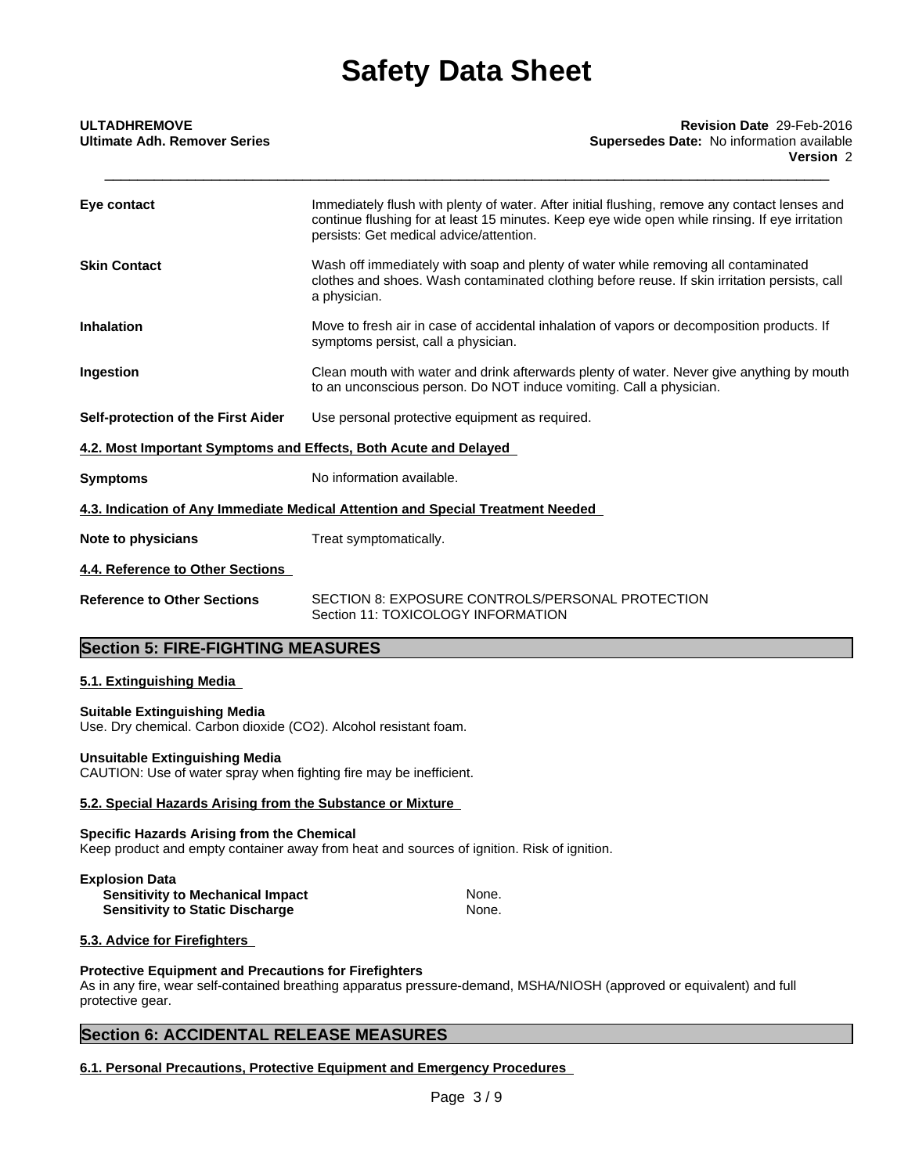| <b>ULTADHREMOVE</b><br><b>Ultimate Adh. Remover Series</b>       | Revision Date 29-Feb-2016<br><b>Supersedes Date: No information available</b><br>Version 2                                                                                                                                                 |
|------------------------------------------------------------------|--------------------------------------------------------------------------------------------------------------------------------------------------------------------------------------------------------------------------------------------|
| Eye contact                                                      | Immediately flush with plenty of water. After initial flushing, remove any contact lenses and<br>continue flushing for at least 15 minutes. Keep eye wide open while rinsing. If eye irritation<br>persists: Get medical advice/attention. |
| <b>Skin Contact</b>                                              | Wash off immediately with soap and plenty of water while removing all contaminated<br>clothes and shoes. Wash contaminated clothing before reuse. If skin irritation persists, call<br>a physician.                                        |
| <b>Inhalation</b>                                                | Move to fresh air in case of accidental inhalation of vapors or decomposition products. If<br>symptoms persist, call a physician.                                                                                                          |
| Ingestion                                                        | Clean mouth with water and drink afterwards plenty of water. Never give anything by mouth<br>to an unconscious person. Do NOT induce vomiting. Call a physician.                                                                           |
| Self-protection of the First Aider                               | Use personal protective equipment as required.                                                                                                                                                                                             |
| 4.2. Most Important Symptoms and Effects, Both Acute and Delayed |                                                                                                                                                                                                                                            |
| <b>Symptoms</b>                                                  | No information available.                                                                                                                                                                                                                  |
|                                                                  | 4.3. Indication of Any Immediate Medical Attention and Special Treatment Needed                                                                                                                                                            |
| Note to physicians                                               | Treat symptomatically.                                                                                                                                                                                                                     |
| 4.4. Reference to Other Sections                                 |                                                                                                                                                                                                                                            |
| <b>Reference to Other Sections</b>                               | SECTION 8: EXPOSURE CONTROLS/PERSONAL PROTECTION<br>Section 11: TOXICOLOGY INFORMATION                                                                                                                                                     |

## **Section 5: FIRE-FIGHTING MEASURES**

### **5.1. Extinguishing Media**

### **Suitable Extinguishing Media**

Use. Dry chemical. Carbon dioxide (CO2). Alcohol resistant foam.

#### **Unsuitable Extinguishing Media**

CAUTION: Use of water spray when fighting fire may be inefficient.

### **5.2. Special Hazards Arising from the Substance or Mixture**

### **Specific Hazards Arising from the Chemical**

Keep product and empty container away from heat and sources of ignition. Risk of ignition.

### **Explosion Data**

| <b>Sensitivity to Mechanical Impact</b> | None. |
|-----------------------------------------|-------|
| <b>Sensitivity to Static Discharge</b>  | None. |

### **5.3. Advice for Firefighters**

### **Protective Equipment and Precautions for Firefighters**

As in any fire, wear self-contained breathing apparatus pressure-demand, MSHA/NIOSH (approved or equivalent) and full protective gear.

### **Section 6: ACCIDENTAL RELEASE MEASURES**

**6.1. Personal Precautions, Protective Equipment and Emergency Procedures**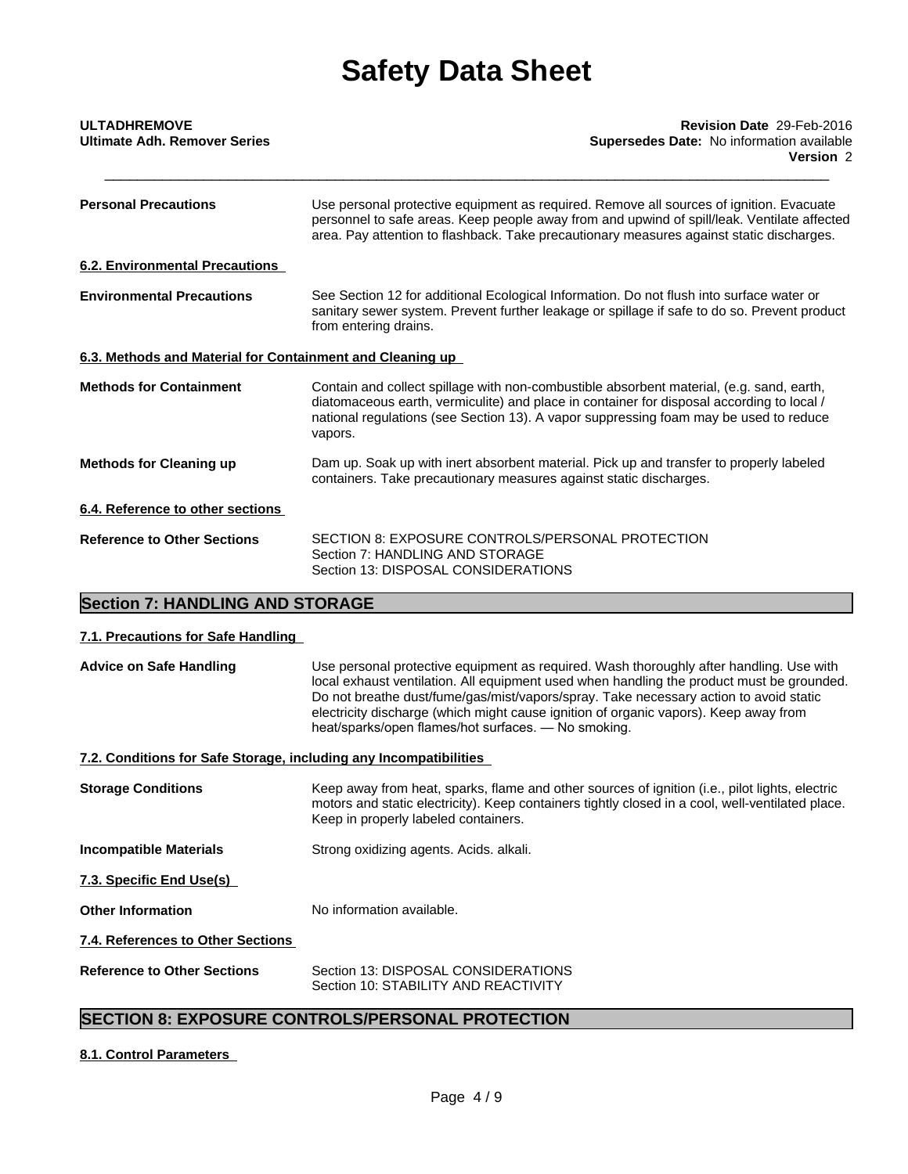| <b>ULTADHREMOVE</b>                                       | Revision Date 29-Feb-2016                                                                                                                                                                                                                                                                 |
|-----------------------------------------------------------|-------------------------------------------------------------------------------------------------------------------------------------------------------------------------------------------------------------------------------------------------------------------------------------------|
| <b>Ultimate Adh. Remover Series</b>                       | Supersedes Date: No information available<br>Version 2                                                                                                                                                                                                                                    |
| <b>Personal Precautions</b>                               | Use personal protective equipment as required. Remove all sources of ignition. Evacuate<br>personnel to safe areas. Keep people away from and upwind of spill/leak. Ventilate affected<br>area. Pay attention to flashback. Take precautionary measures against static discharges.        |
| <b>6.2. Environmental Precautions</b>                     |                                                                                                                                                                                                                                                                                           |
| <b>Environmental Precautions</b>                          | See Section 12 for additional Ecological Information. Do not flush into surface water or<br>sanitary sewer system. Prevent further leakage or spillage if safe to do so. Prevent product<br>from entering drains.                                                                         |
| 6.3. Methods and Material for Containment and Cleaning up |                                                                                                                                                                                                                                                                                           |
| <b>Methods for Containment</b>                            | Contain and collect spillage with non-combustible absorbent material, (e.g. sand, earth,<br>diatomaceous earth, vermiculite) and place in container for disposal according to local /<br>national regulations (see Section 13). A vapor suppressing foam may be used to reduce<br>vapors. |
| <b>Methods for Cleaning up</b>                            | Dam up. Soak up with inert absorbent material. Pick up and transfer to properly labeled<br>containers. Take precautionary measures against static discharges.                                                                                                                             |
| 6.4. Reference to other sections                          |                                                                                                                                                                                                                                                                                           |
| <b>Reference to Other Sections</b>                        | SECTION 8: EXPOSURE CONTROLS/PERSONAL PROTECTION<br>Section 7: HANDLING AND STORAGE<br>Section 13: DISPOSAL CONSIDERATIONS                                                                                                                                                                |
|                                                           |                                                                                                                                                                                                                                                                                           |

## **Section 7: HANDLING AND STORAGE**

### **7.1. Precautions for Safe Handling**

| <b>Advice on Safe Handling</b>                                    | Use personal protective equipment as required. Wash thoroughly after handling. Use with<br>local exhaust ventilation. All equipment used when handling the product must be grounded.<br>Do not breathe dust/fume/gas/mist/vapors/spray. Take necessary action to avoid static<br>electricity discharge (which might cause ignition of organic vapors). Keep away from<br>heat/sparks/open flames/hot surfaces. - No smoking. |
|-------------------------------------------------------------------|------------------------------------------------------------------------------------------------------------------------------------------------------------------------------------------------------------------------------------------------------------------------------------------------------------------------------------------------------------------------------------------------------------------------------|
| 7.2. Conditions for Safe Storage, including any Incompatibilities |                                                                                                                                                                                                                                                                                                                                                                                                                              |
| <b>Storage Conditions</b>                                         | Keep away from heat, sparks, flame and other sources of ignition (i.e., pilot lights, electric<br>motors and static electricity). Keep containers tightly closed in a cool, well-ventilated place.<br>Keep in properly labeled containers.                                                                                                                                                                                   |
| <b>Incompatible Materials</b>                                     | Strong oxidizing agents. Acids. alkali.                                                                                                                                                                                                                                                                                                                                                                                      |
| 7.3. Specific End Use(s)                                          |                                                                                                                                                                                                                                                                                                                                                                                                                              |
| <b>Other Information</b>                                          | No information available.                                                                                                                                                                                                                                                                                                                                                                                                    |
| 7.4. References to Other Sections                                 |                                                                                                                                                                                                                                                                                                                                                                                                                              |
| <b>Reference to Other Sections</b>                                | Section 13: DISPOSAL CONSIDERATIONS<br>Section 10: STABILITY AND REACTIVITY                                                                                                                                                                                                                                                                                                                                                  |

## **SECTION 8: EXPOSURE CONTROLS/PERSONAL PROTECTION**

### **8.1. Control Parameters**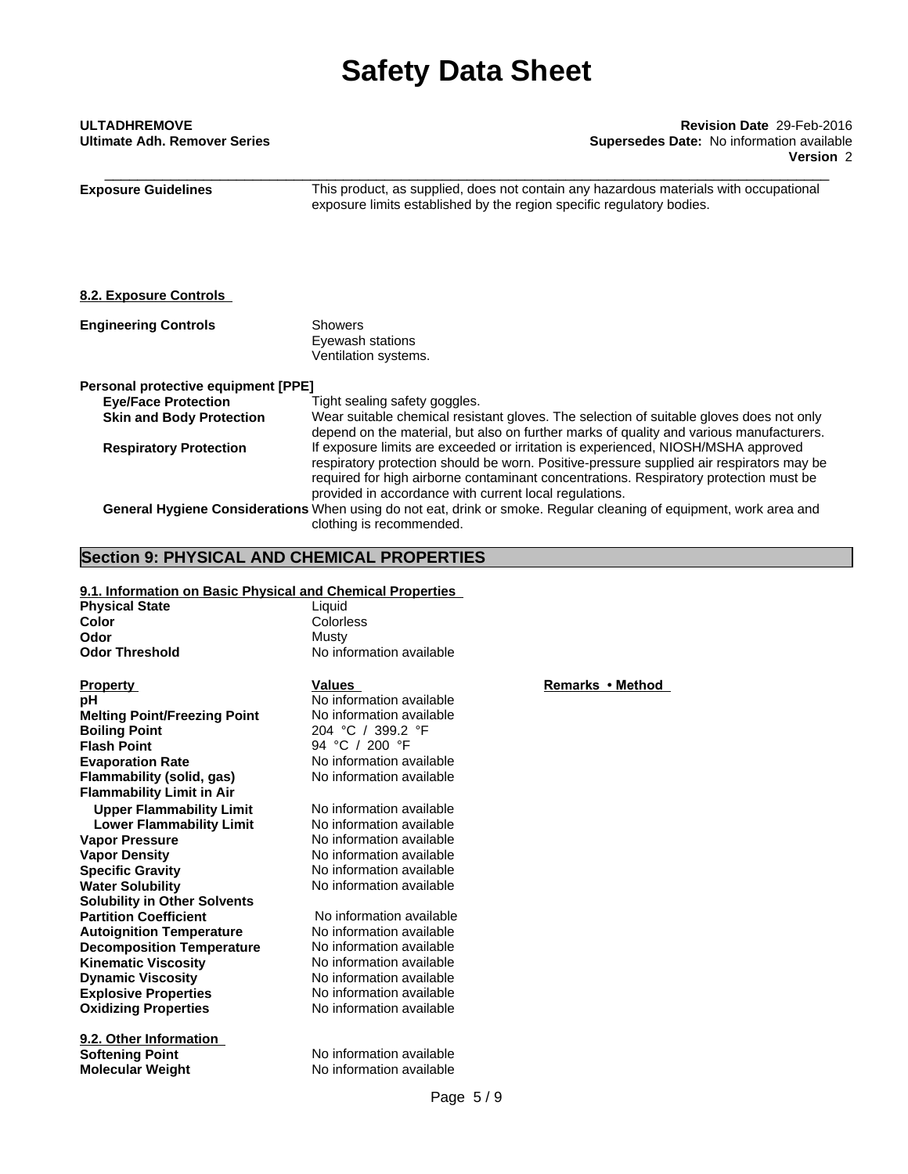| <b>ULTADHREMOVE</b>          |  |  |
|------------------------------|--|--|
| Ultimate Adh. Remover Series |  |  |

\_\_\_\_\_\_\_\_\_\_\_\_\_\_\_\_\_\_\_\_\_\_\_\_\_\_\_\_\_\_\_\_\_\_\_\_\_\_\_\_\_\_\_\_\_\_\_\_\_\_\_\_\_\_\_\_\_\_\_\_\_\_\_\_\_\_\_\_\_\_\_\_\_\_\_\_\_\_\_\_\_\_\_\_\_\_\_\_ **ULTADHREMOVE Revision Date** 29-Feb-2016 **Supersedes Date:** No information available **Version** 2

**Exposure Guidelines** This product, as supplied, does not contain any hazardous materials with occupational exposure limits established by the region specific regulatory bodies. **8.2. Exposure Controls Engineering Controls** Showers Eyewash stations Ventilation systems. **Personal protective equipment [PPE] Eye/Face Protection Tight sealing safety goggles. Skin and Body Protection** Wear suitable chemical resistant gloves. The selection of suitable gloves does not only depend on the material, but also on further marks of quality and various manufacturers. **Respiratory Protection** If exposure limits are exceeded or irritation is experienced, NIOSH/MSHA approved respiratory protection should be worn. Positive-pressure supplied air respirators may be required for high airborne contaminant concentrations. Respiratory protection must be provided in accordance with current local regulations. **General Hygiene Considerations** When using do not eat, drink or smoke. Regular cleaning of equipment, work area and clothing is recommended.

### **Section 9: PHYSICAL AND CHEMICAL PROPERTIES**

### **9.1. Information on Basic Physical and Chemical Properties**

| <b>Physical State</b> | Liauid                   |
|-----------------------|--------------------------|
| Color                 | Colorless                |
| Odor                  | Mustv                    |
| <b>Odor Threshold</b> | No information available |

**Explosive Properties** No information available **Oxidizing Properties** No information available **Property Remarks •Method Values Remarks •Method pH** No information available **Melting Point/Freezing Point** No information available **Boiling Point** 204 °C / 399.2 °F **Flash Point**<br>**Evaporation Rate CONSIDED A** No information a **Flammability** (solid, gas) **Flammability Limit in Air Upper Flammability Limit** No information available<br> **Lower Flammability Limit** No information available **Lower Flammability Limit Vapor Pressure No information available Vapor Density No information available Specific Gravity** No information available **Water Solubility** No information available **Solubility in Other Solvents Partition Coefficient No information available**<br> **Autoignition Temperature No information available Autoignition Temperature Decomposition Temperature** No information available **Kinematic Viscosity** No information available **Dynamic Viscosity** No information available

**9.2. Other Information Softening Point** No information available **Molecular Weight** No information available

No information available<br>No information available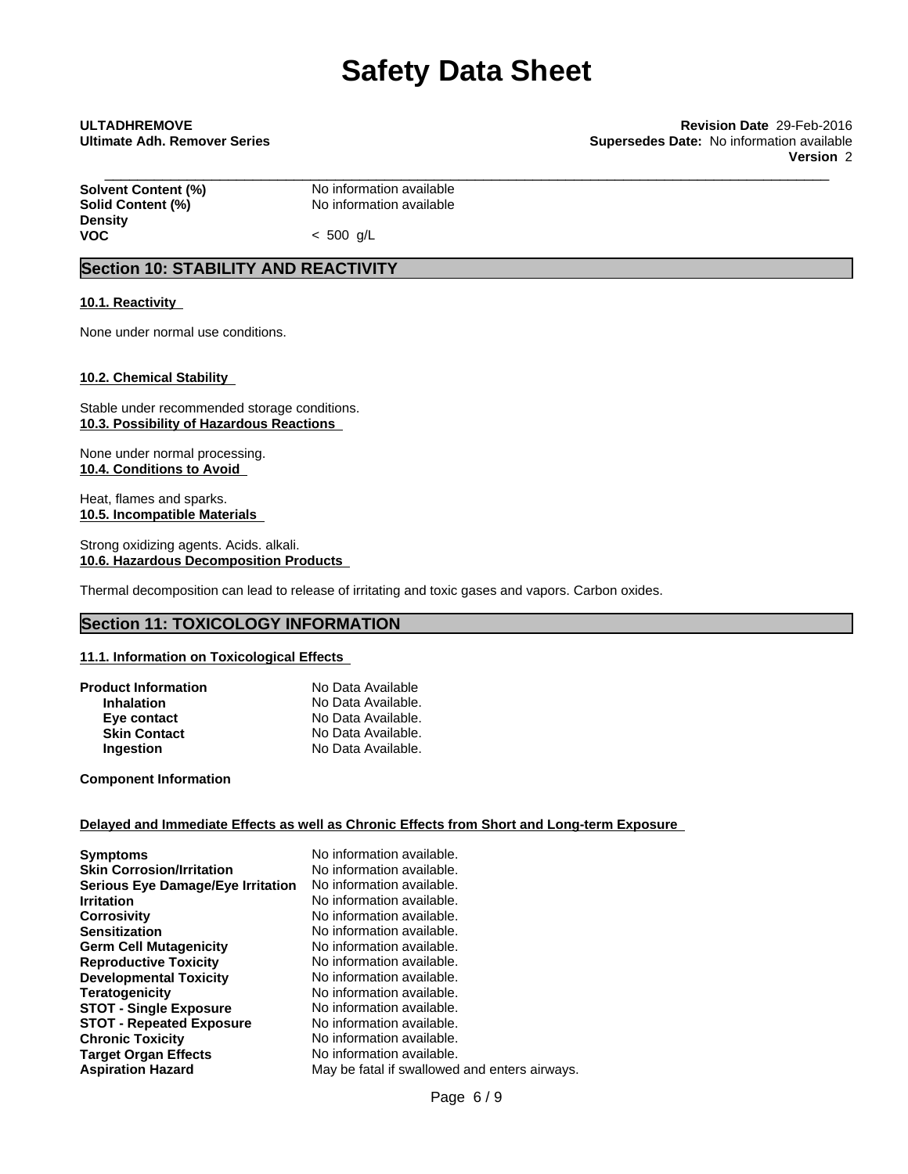\_\_\_\_\_\_\_\_\_\_\_\_\_\_\_\_\_\_\_\_\_\_\_\_\_\_\_\_\_\_\_\_\_\_\_\_\_\_\_\_\_\_\_\_\_\_\_\_\_\_\_\_\_\_\_\_\_\_\_\_\_\_\_\_\_\_\_\_\_\_\_\_\_\_\_\_\_\_\_\_\_\_\_\_\_\_\_\_ **ULTADHREMOVE Revision Date** 29-Feb-2016 **Ultimate Adh. Remover Series Supersedes Date:** No information available **Version** 2

**Solvent Content (%)**<br> **Solid Content (%)**<br>
No information available **Density**

**Solid Content (%)** No information available

**VOC** < 500 g/L

## **Section 10: STABILITY AND REACTIVITY**

### **10.1. Reactivity**

None under normal use conditions.

### **10.2. Chemical Stability**

Stable under recommended storage conditions. **10.3. Possibility of Hazardous Reactions**

None under normal processing. **10.4. Conditions to Avoid**

Heat, flames and sparks. **10.5. Incompatible Materials**

Strong oxidizing agents. Acids. alkali. **10.6. Hazardous Decomposition Products**

Thermal decomposition can lead to release of irritating and toxic gases and vapors. Carbon oxides.

### **Section 11: TOXICOLOGY INFORMATION**

### **11.1. Information on Toxicological Effects**

| <b>Product Information</b> | No Data Available  |  |
|----------------------------|--------------------|--|
| <b>Inhalation</b>          | No Data Available. |  |
| Eye contact                | No Data Available. |  |
| <b>Skin Contact</b>        | No Data Available. |  |
| <b>Ingestion</b>           | No Data Available. |  |

**Component Information**

### **Delayed and Immediate Effects as well as Chronic Effects from Short and Long-term Exposure**

| No information available.<br>No information available.<br>No information available.<br>No information available.<br>No information available.<br>No information available.<br>No information available.<br>No information available.<br>No information available.<br>No information available.<br>No information available.<br>No information available.<br>No information available. |
|---------------------------------------------------------------------------------------------------------------------------------------------------------------------------------------------------------------------------------------------------------------------------------------------------------------------------------------------------------------------------------------|
| No information available.<br>May be fatal if swallowed and enters airways.                                                                                                                                                                                                                                                                                                            |
|                                                                                                                                                                                                                                                                                                                                                                                       |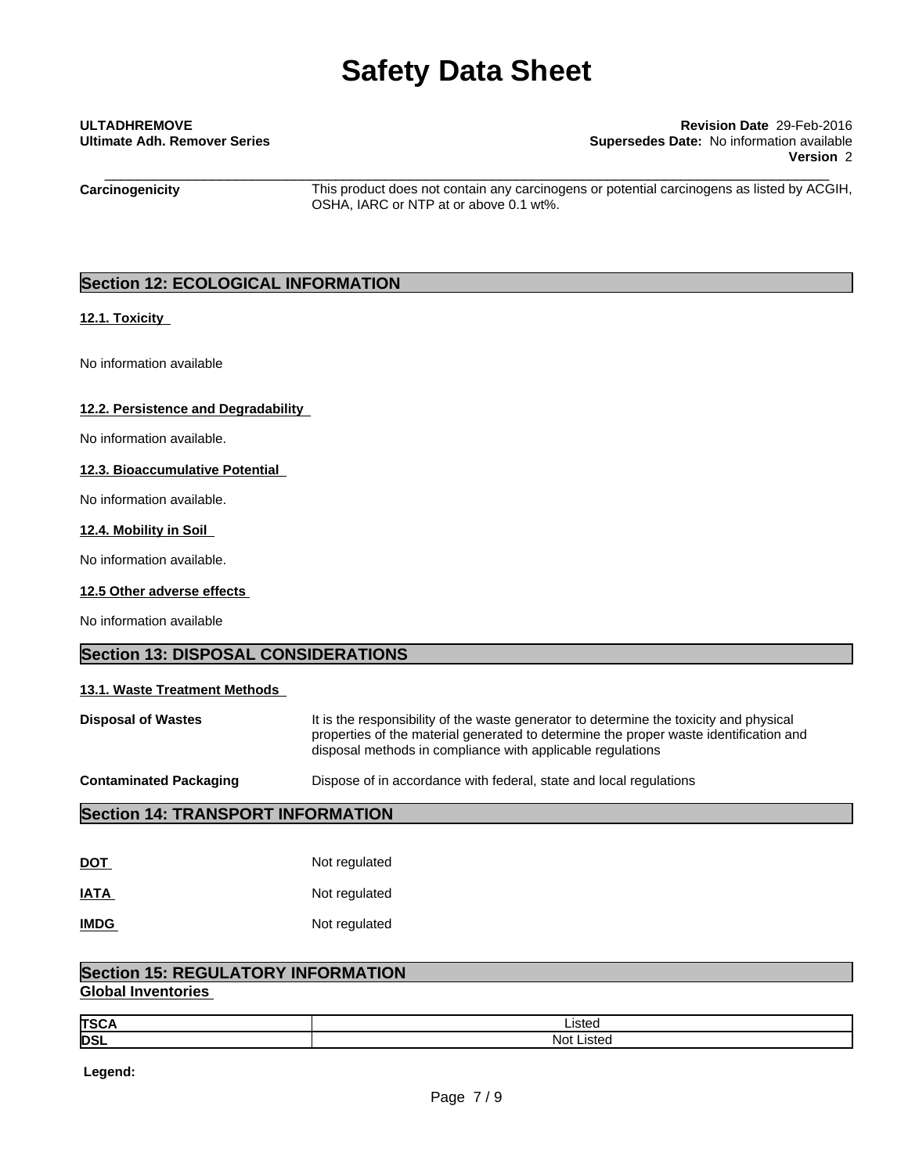## \_\_\_\_\_\_\_\_\_\_\_\_\_\_\_\_\_\_\_\_\_\_\_\_\_\_\_\_\_\_\_\_\_\_\_\_\_\_\_\_\_\_\_\_\_\_\_\_\_\_\_\_\_\_\_\_\_\_\_\_\_\_\_\_\_\_\_\_\_\_\_\_\_\_\_\_\_\_\_\_\_\_\_\_\_\_\_\_ **ULTADHREMOVE Revision Date** 29-Feb-2016 **Ultimate Adh. Remover Series Supersedes Date:** No information available **Version** 2

**Carcinogenicity** This product does not contain any carcinogens or potential carcinogens as listed by ACGIH, OSHA, IARC or NTP at or above 0.1 wt%.

### **Section 12: ECOLOGICAL INFORMATION**

### **12.1. Toxicity**

No information available

### **12.2. Persistence and Degradability**

No information available.

### **12.3. Bioaccumulative Potential**

No information available.

### **12.4. Mobility in Soil**

No information available.

### **12.5 Other adverse effects**

No information available

### **Section 13: DISPOSAL CONSIDERATIONS**

### **13.1. Waste Treatment Methods**

**Disposal of Wastes** It is the responsibility of the waste generator to determine the toxicity and physical properties of the material generated to determine the proper waste identification and disposal methods in compliance with applicable regulations

**Contaminated Packaging <b>Dispose** of in accordance with federal, state and local regulations

### **Section 14: TRANSPORT INFORMATION**

| <u>DOT</u>  | Not regulated |
|-------------|---------------|
| <b>IATA</b> | Not regulated |
| <b>IMDG</b> | Not regulated |

## **Section 15: REGULATORY INFORMATION**

### **Global Inventories**

| <b>TSC/</b> | ∟isted      |
|-------------|-------------|
| <b>DSL</b>  | Not<br>uste |

 **Legend:**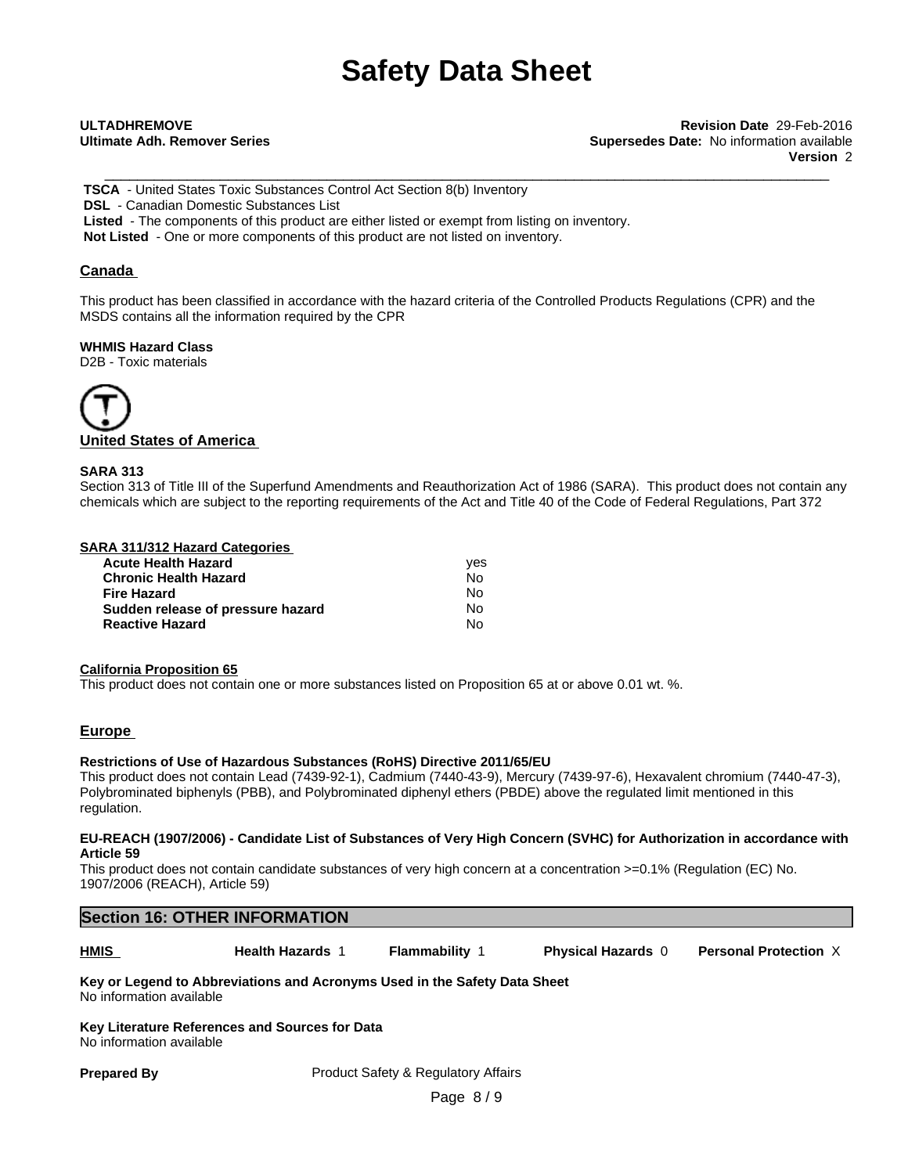\_\_\_\_\_\_\_\_\_\_\_\_\_\_\_\_\_\_\_\_\_\_\_\_\_\_\_\_\_\_\_\_\_\_\_\_\_\_\_\_\_\_\_\_\_\_\_\_\_\_\_\_\_\_\_\_\_\_\_\_\_\_\_\_\_\_\_\_\_\_\_\_\_\_\_\_\_\_\_\_\_\_\_\_\_\_\_\_ **ULTADHREMOVE Revision Date** 29-Feb-2016 **Ultimate Adh. Remover Series Supersedes Date:** No information available **Version** 2

 **TSCA** - United States Toxic Substances Control Act Section 8(b) Inventory  **DSL** - Canadian Domestic Substances List  **Listed** - The components of this product are either listed or exempt from listing on inventory. **Not Listed** - One or more components of this product are not listed on inventory.

### **Canada**

This product has been classified in accordance with the hazard criteria of the Controlled Products Regulations (CPR) and the MSDS contains all the information required by the CPR

**WHMIS Hazard Class** D2B - Toxic materials



### **SARA 313**

Section 313 of Title III of the Superfund Amendments and Reauthorization Act of 1986 (SARA). This product does not contain any chemicals which are subject to the reporting requirements of the Act and Title 40 of the Code of Federal Regulations, Part 372

### **SARA 311/312 Hazard Categories**

| <b>Acute Health Hazard</b>        | ves |
|-----------------------------------|-----|
| <b>Chronic Health Hazard</b>      | No  |
| <b>Fire Hazard</b>                | N٥  |
| Sudden release of pressure hazard | N٥  |
| <b>Reactive Hazard</b>            | N٥  |

### **California Proposition 65**

This product does not contain one or more substances listed on Proposition 65 at or above 0.01 wt. %.

### **Europe**

### **Restrictions of Use of Hazardous Substances (RoHS) Directive 2011/65/EU**

This product does not contain Lead (7439-92-1), Cadmium (7440-43-9), Mercury (7439-97-6), Hexavalent chromium (7440-47-3), Polybrominated biphenyls (PBB), and Polybrominated diphenyl ethers (PBDE) above the regulated limit mentioned in this regulation.

#### EU-REACH (1907/2006) - Candidate List of Substances of Very High Concern (SVHC) for Authorization in accordance with **Article 59**

This product does not contain candidate substances of very high concern at a concentration  $>=0.1\%$  (Regulation (EC) No. 1907/2006 (REACH), Article 59)

# **Section 16: OTHER INFORMATION HMIS Health Hazards** 1 **Flammability** 1 **Physical Hazards** 0 **Personal Protection** X

## **Key or Legend to Abbreviations and Acronyms Used in the Safety Data Sheet**

No information available

**Key Literature References and Sources for Data** No information available

**Prepared By** Product Safety & Regulatory Affairs